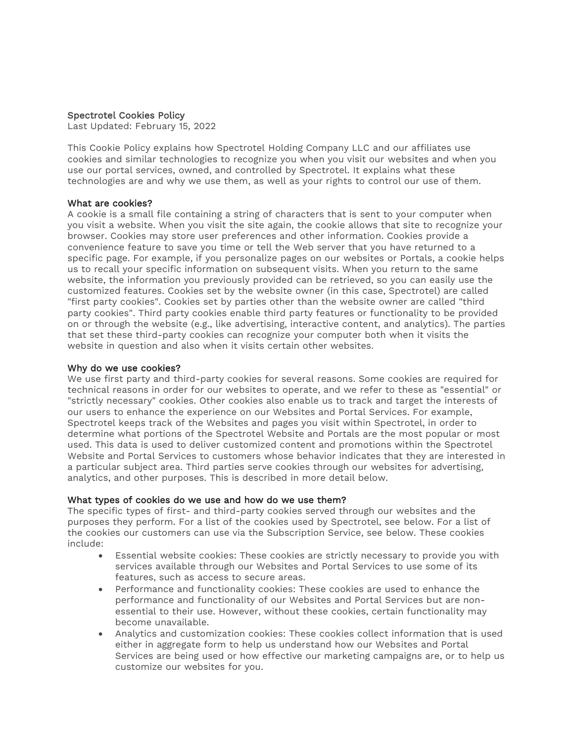## Spectrotel Cookies Policy

Last Updated: February 15, 2022

This Cookie Policy explains how Spectrotel Holding Company LLC and our affiliates use cookies and similar technologies to recognize you when you visit our websites and when you use our portal services, owned, and controlled by Spectrotel. It explains what these technologies are and why we use them, as well as your rights to control our use of them.

# What are cookies?

A cookie is a small file containing a string of characters that is sent to your computer when you visit a website. When you visit the site again, the cookie allows that site to recognize your browser. Cookies may store user preferences and other information. Cookies provide a convenience feature to save you time or tell the Web server that you have returned to a specific page. For example, if you personalize pages on our websites or Portals, a cookie helps us to recall your specific information on subsequent visits. When you return to the same website, the information you previously provided can be retrieved, so you can easily use the customized features. Cookies set by the website owner (in this case, Spectrotel) are called "first party cookies". Cookies set by parties other than the website owner are called "third party cookies". Third party cookies enable third party features or functionality to be provided on or through the website (e.g., like advertising, interactive content, and analytics). The parties that set these third-party cookies can recognize your computer both when it visits the website in question and also when it visits certain other websites.

### Why do we use cookies?

We use first party and third-party cookies for several reasons. Some cookies are required for technical reasons in order for our websites to operate, and we refer to these as "essential" or "strictly necessary" cookies. Other cookies also enable us to track and target the interests of our users to enhance the experience on our Websites and Portal Services. For example, Spectrotel keeps track of the Websites and pages you visit within Spectrotel, in order to determine what portions of the Spectrotel Website and Portals are the most popular or most used. This data is used to deliver customized content and promotions within the Spectrotel Website and Portal Services to customers whose behavior indicates that they are interested in a particular subject area. Third parties serve cookies through our websites for advertising, analytics, and other purposes. This is described in more detail below.

# What types of cookies do we use and how do we use them?

The specific types of first- and third-party cookies served through our websites and the purposes they perform. For a list of the cookies used by Spectrotel, see below. For a list of the cookies our customers can use via the Subscription Service, see below. These cookies include:

- Essential website cookies: These cookies are strictly necessary to provide you with services available through our Websites and Portal Services to use some of its features, such as access to secure areas.
- Performance and functionality cookies: These cookies are used to enhance the performance and functionality of our Websites and Portal Services but are nonessential to their use. However, without these cookies, certain functionality may become unavailable.
- Analytics and customization cookies: These cookies collect information that is used either in aggregate form to help us understand how our Websites and Portal Services are being used or how effective our marketing campaigns are, or to help us customize our websites for you.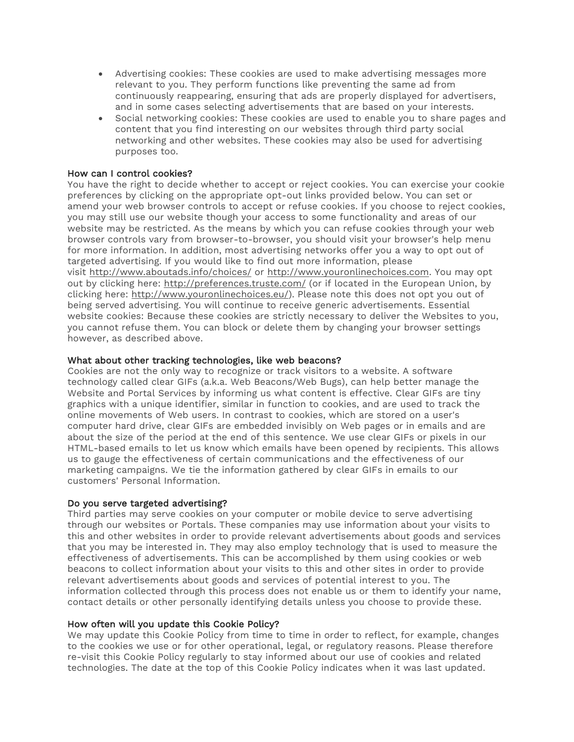- Advertising cookies: These cookies are used to make advertising messages more relevant to you. They perform functions like preventing the same ad from continuously reappearing, ensuring that ads are properly displayed for advertisers, and in some cases selecting advertisements that are based on your interests.
- Social networking cookies: These cookies are used to enable you to share pages and content that you find interesting on our websites through third party social networking and other websites. These cookies may also be used for advertising purposes too.

# How can I control cookies?

You have the right to decide whether to accept or reject cookies. You can exercise your cookie preferences by clicking on the appropriate opt-out links provided below. You can set or amend your web browser controls to accept or refuse cookies. If you choose to reject cookies, you may still use our website though your access to some functionality and areas of our website may be restricted. As the means by which you can refuse cookies through your web browser controls vary from browser-to-browser, you should visit your browser's help menu for more information. In addition, most advertising networks offer you a way to opt out of targeted advertising. If you would like to find out more information, please visit <http://www.aboutads.info/choices/> or [http://www.youronlinechoices.com.](http://www.youronlinechoices.com/) You may opt out by clicking here: <http://preferences.truste.com/> (or if located in the European Union, by clicking here: [http://www.youronlinechoices.eu/\)](http://www.youronlinechoices.eu/). Please note this does not opt you out of being served advertising. You will continue to receive generic advertisements. Essential website cookies: Because these cookies are strictly necessary to deliver the Websites to you, you cannot refuse them. You can block or delete them by changing your browser settings however, as described above.

### What about other tracking technologies, like web beacons?

Cookies are not the only way to recognize or track visitors to a website. A software technology called clear GIFs (a.k.a. Web Beacons/Web Bugs), can help better manage the Website and Portal Services by informing us what content is effective. Clear GIFs are tiny graphics with a unique identifier, similar in function to cookies, and are used to track the online movements of Web users. In contrast to cookies, which are stored on a user's computer hard drive, clear GIFs are embedded invisibly on Web pages or in emails and are about the size of the period at the end of this sentence. We use clear GIFs or pixels in our HTML-based emails to let us know which emails have been opened by recipients. This allows us to gauge the effectiveness of certain communications and the effectiveness of our marketing campaigns. We tie the information gathered by clear GIFs in emails to our customers' Personal Information.

### Do you serve targeted advertising?

Third parties may serve cookies on your computer or mobile device to serve advertising through our websites or Portals. These companies may use information about your visits to this and other websites in order to provide relevant advertisements about goods and services that you may be interested in. They may also employ technology that is used to measure the effectiveness of advertisements. This can be accomplished by them using cookies or web beacons to collect information about your visits to this and other sites in order to provide relevant advertisements about goods and services of potential interest to you. The information collected through this process does not enable us or them to identify your name, contact details or other personally identifying details unless you choose to provide these.

## How often will you update this Cookie Policy?

We may update this Cookie Policy from time to time in order to reflect, for example, changes to the cookies we use or for other operational, legal, or regulatory reasons. Please therefore re-visit this Cookie Policy regularly to stay informed about our use of cookies and related technologies. The date at the top of this Cookie Policy indicates when it was last updated.